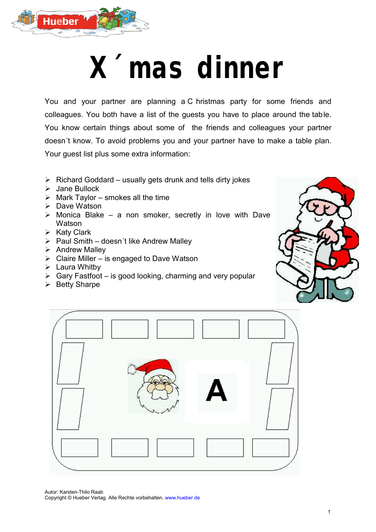

## **X´mas dinner**

You and your partner are planning a C hristmas party for some friends and colleagues. You both have a list of the guests you have to place around the table. You know certain things about some of the friends and colleagues your partner doesn´t know. To avoid problems you and your partner have to make a table plan. Your guest list plus some extra information:

- $\triangleright$  Richard Goddard usually gets drunk and tells dirty jokes
- Jane Bullock
- $\triangleright$  Mark Taylor smokes all the time
- $\triangleright$  Dave Watson
- $\triangleright$  Monica Blake a non smoker, secretly in love with Dave **Watson**
- $\triangleright$  Katy Clark
- $\triangleright$  Paul Smith doesn't like Andrew Malley
- $\triangleright$  Andrew Malley
- $\triangleright$  Claire Miller is engaged to Dave Watson
- $\triangleright$  Laura Whitby
- $\triangleright$  Gary Fastfoot is good looking, charming and very popular
- $\triangleright$  Betty Sharpe





Autor: Karsten-Thilo Raab Copyright © Hueber Verlag. Alle Rechte vorbehalten. www.hueber.de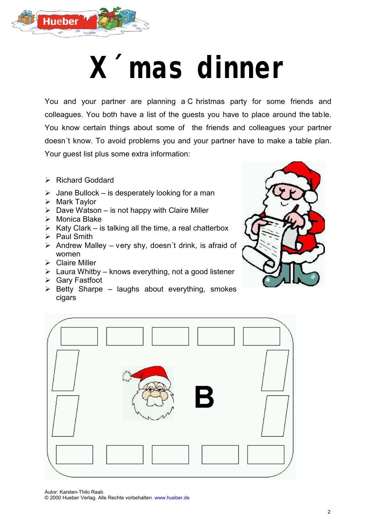

## **X´mas dinner**

You and your partner are planning a C hristmas party for some friends and colleagues. You both have a list of the guests you have to place around the table. You know certain things about some of the friends and colleagues your partner doesn´t know. To avoid problems you and your partner have to make a table plan. Your guest list plus some extra information:

- ▶ Richard Goddard
- $\triangleright$  Jane Bullock is desperately looking for a man
- $\triangleright$  Mark Taylor
- $\triangleright$  Dave Watson is not happy with Claire Miller
- $\triangleright$  Monica Blake
- $\triangleright$  Katy Clark is talking all the time, a real chatterbox
- $\triangleright$  Paul Smith
- $\triangleright$  Andrew Malley very shy, doesn't drink, is afraid of women
- Claire Miller
- $\triangleright$  Laura Whitby knows everything, not a good listener
- Gary Fastfoot
- $\triangleright$  Betty Sharpe laughs about everything, smokes cigars





Autor: Karsten-Thilo Raab © 2000 Hueber Verlag. Alle Rechte vorbehalten. www.hueber.de